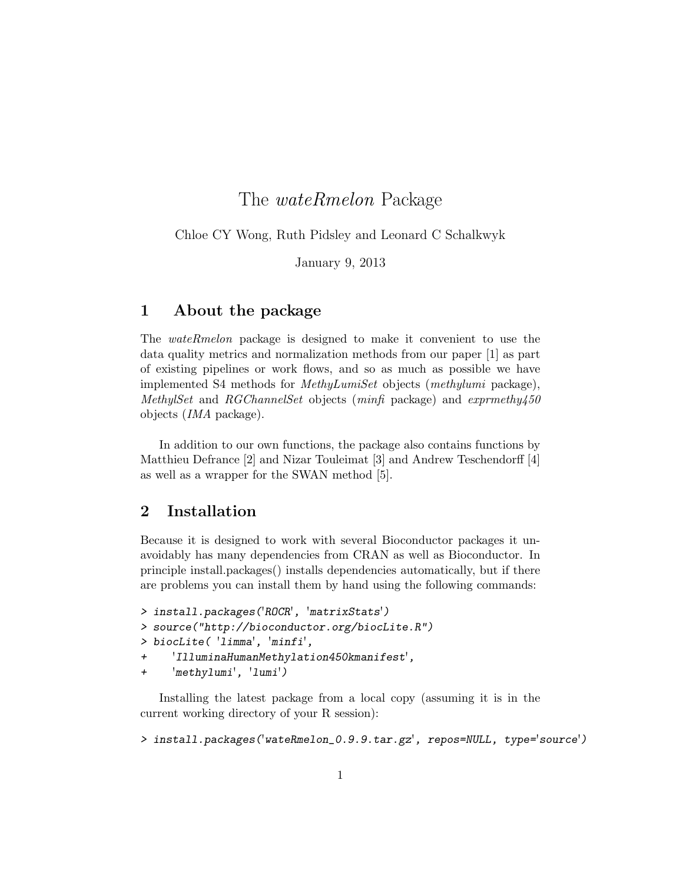# The wateRmelon Package

Chloe CY Wong, Ruth Pidsley and Leonard C Schalkwyk

January 9, 2013

### 1 About the package

The wateRmelon package is designed to make it convenient to use the data quality metrics and normalization methods from our paper [1] as part of existing pipelines or work flows, and so as much as possible we have implemented S4 methods for MethyLumiSet objects (methylumi package), MethylSet and RGChannelSet objects (minfi package) and  $exprmethyl50$ objects (IMA package).

In addition to our own functions, the package also contains functions by Matthieu Defrance [2] and Nizar Touleimat [3] and Andrew Teschendorff [4] as well as a wrapper for the SWAN method [5].

## 2 Installation

Because it is designed to work with several Bioconductor packages it unavoidably has many dependencies from CRAN as well as Bioconductor. In principle install.packages() installs dependencies automatically, but if there are problems you can install them by hand using the following commands:

```
> install.packages('ROCR', 'matrixStats')
> source("http://bioconductor.org/biocLite.R")
> biocLite( 'limma', 'minfi',
+ 'IlluminaHumanMethylation450kmanifest',
```
+ 'methylumi', 'lumi')

Installing the latest package from a local copy (assuming it is in the current working directory of your R session):

> install.packages('wateRmelon\_0.9.9.tar.gz', repos=NULL, type='source')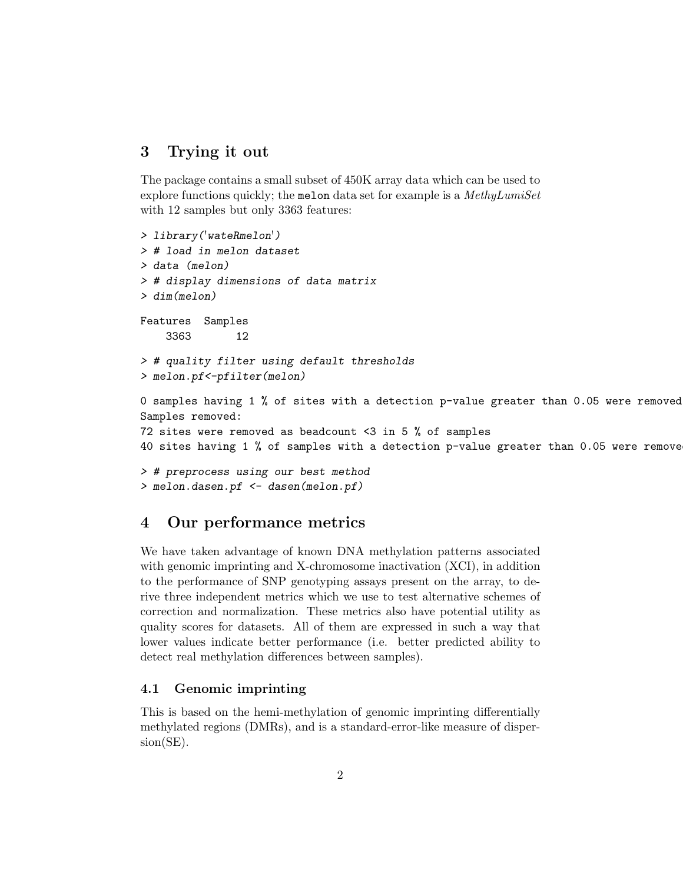## 3 Trying it out

The package contains a small subset of 450K array data which can be used to explore functions quickly; the melon data set for example is a MethyLumiSet with 12 samples but only 3363 features:

```
> library('wateRmelon')
> # load in melon dataset
> data (melon)
> # display dimensions of data matrix
> dim(melon)
Features Samples
    3363 12
> # quality filter using default thresholds
> melon.pf<-pfilter(melon)
0 samples having 1 % of sites with a detection p-value greater than 0.05 were removed
Samples removed:
72 sites were removed as beadcount <3 in 5 % of samples
40 sites having 1 % of samples with a detection p-value greater than 0.05 were removed
> # preprocess using our best method
> melon.dasen.pf <- dasen(melon.pf)
```
## 4 Our performance metrics

We have taken advantage of known DNA methylation patterns associated with genomic imprinting and X-chromosome inactivation (XCI), in addition to the performance of SNP genotyping assays present on the array, to derive three independent metrics which we use to test alternative schemes of correction and normalization. These metrics also have potential utility as quality scores for datasets. All of them are expressed in such a way that lower values indicate better performance (i.e. better predicted ability to detect real methylation differences between samples).

#### 4.1 Genomic imprinting

This is based on the hemi-methylation of genomic imprinting differentially methylated regions (DMRs), and is a standard-error-like measure of dispersion(SE).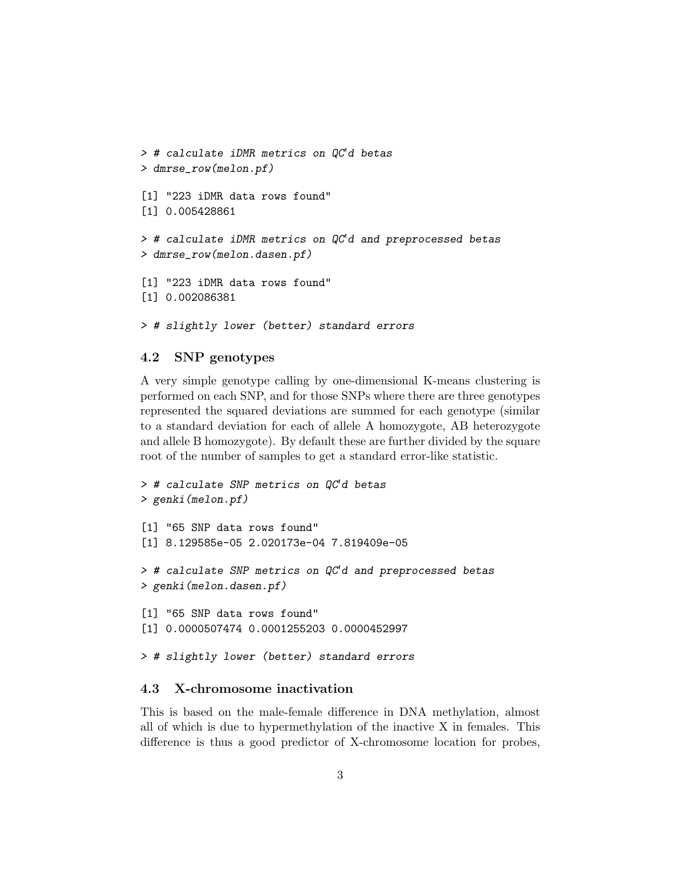```
> # calculate iDMR metrics on QC'd betas
> dmrse_row(melon.pf)
[1] "223 iDMR data rows found"
[1] 0.005428861
> # calculate iDMR metrics on QC'd and preprocessed betas
> dmrse_row(melon.dasen.pf)
[1] "223 iDMR data rows found"
[1] 0.002086381
```

```
> # slightly lower (better) standard errors
```
### 4.2 SNP genotypes

A very simple genotype calling by one-dimensional K-means clustering is performed on each SNP, and for those SNPs where there are three genotypes represented the squared deviations are summed for each genotype (similar to a standard deviation for each of allele A homozygote, AB heterozygote and allele B homozygote). By default these are further divided by the square root of the number of samples to get a standard error-like statistic.

```
> # calculate SNP metrics on QC'd betas
> genki(melon.pf)
[1] "65 SNP data rows found"
[1] 8.129585e-05 2.020173e-04 7.819409e-05
> # calculate SNP metrics on QC'd and preprocessed betas
> genki(melon.dasen.pf)
[1] "65 SNP data rows found"
[1] 0.0000507474 0.0001255203 0.0000452997
> # slightly lower (better) standard errors
```
### 4.3 X-chromosome inactivation

This is based on the male-female difference in DNA methylation, almost all of which is due to hypermethylation of the inactive X in females. This difference is thus a good predictor of X-chromosome location for probes,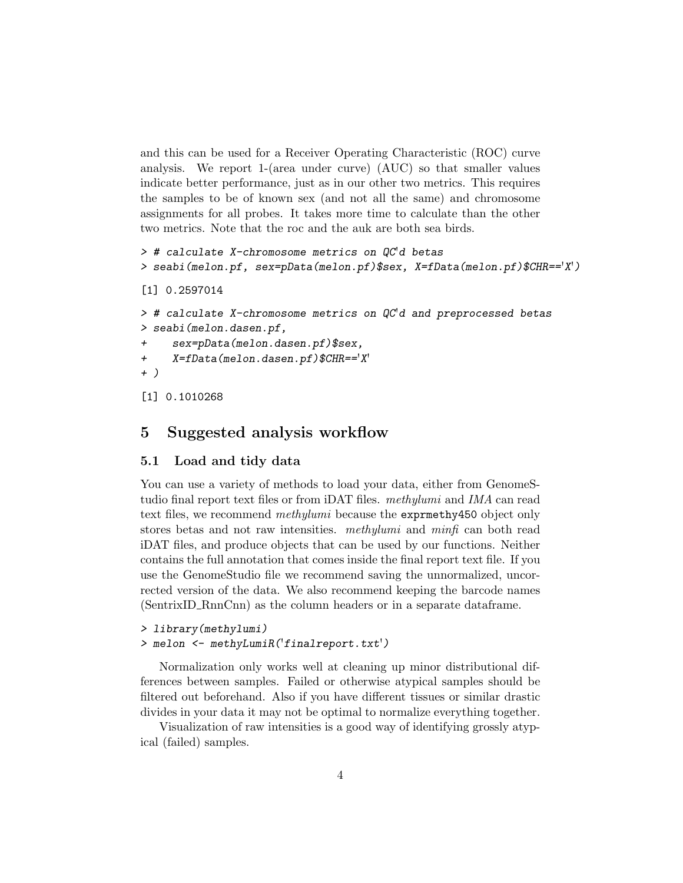and this can be used for a Receiver Operating Characteristic (ROC) curve analysis. We report 1-(area under curve) (AUC) so that smaller values indicate better performance, just as in our other two metrics. This requires the samples to be of known sex (and not all the same) and chromosome assignments for all probes. It takes more time to calculate than the other two metrics. Note that the roc and the auk are both sea birds.

```
> # calculate X-chromosome metrics on QC'd betas
> seabi(melon.pf, sex=pData(melon.pf)$sex, X=fData(melon.pf)$CHR=='X')
[1] 0.2597014
> # calculate X-chromosome metrics on QC'd and preprocessed betas
> seabi(melon.dasen.pf,
+ sex=pData(melon.dasen.pf)$sex,
+ X=fData(melon.dasen.pf)$CHR=='X'
+ )
[1] 0.1010268
```
### 5 Suggested analysis workflow

#### 5.1 Load and tidy data

You can use a variety of methods to load your data, either from GenomeStudio final report text files or from iDAT files. methylumi and IMA can read text files, we recommend methylumi because the exprnethy450 object only stores betas and not raw intensities. methylumi and minfi can both read iDAT files, and produce objects that can be used by our functions. Neither contains the full annotation that comes inside the final report text file. If you use the GenomeStudio file we recommend saving the unnormalized, uncorrected version of the data. We also recommend keeping the barcode names (SentrixID RnnCnn) as the column headers or in a separate dataframe.

```
> library(methylumi)
> melon <- methyLumiR('finalreport.txt')
```
Normalization only works well at cleaning up minor distributional differences between samples. Failed or otherwise atypical samples should be filtered out beforehand. Also if you have different tissues or similar drastic divides in your data it may not be optimal to normalize everything together.

Visualization of raw intensities is a good way of identifying grossly atypical (failed) samples.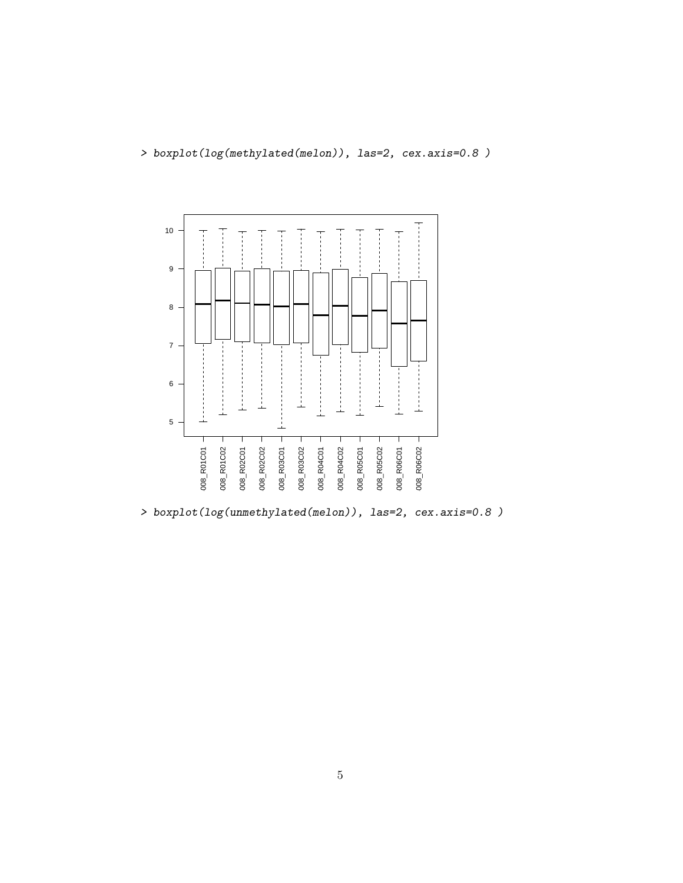



> boxplot(log(unmethylated(melon)), las=2, cex.axis=0.8 )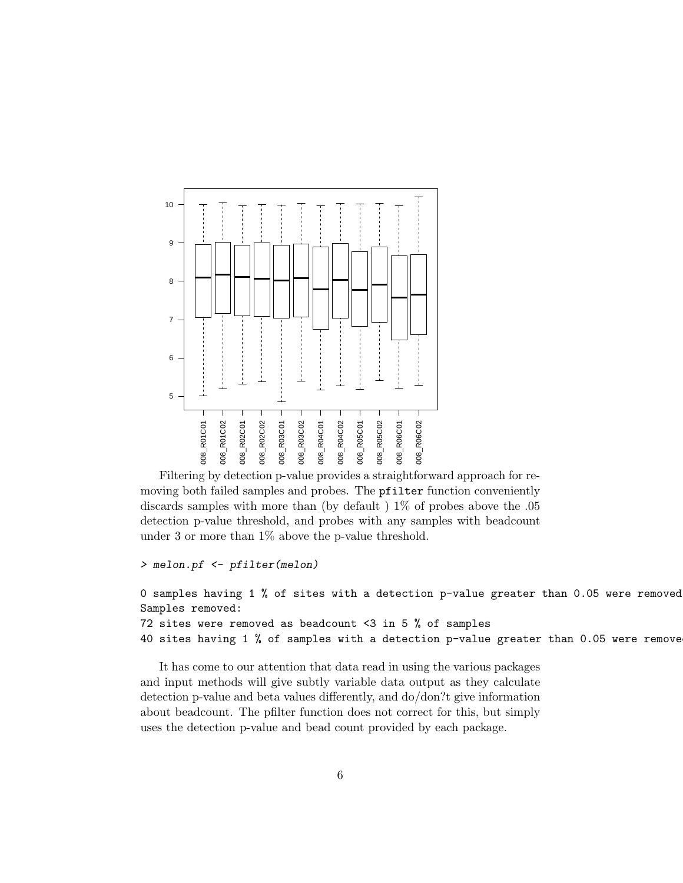

Filtering by detection p-value provides a straightforward approach for removing both failed samples and probes. The pfilter function conveniently discards samples with more than (by default ) 1% of probes above the .05 detection p-value threshold, and probes with any samples with beadcount under 3 or more than 1% above the p-value threshold.

```
> melon.pf <- pfilter(melon)
```

```
0 samples having 1 % of sites with a detection p-value greater than 0.05 were removed
Samples removed:
72 sites were removed as beadcount <3 in 5 % of samples
40 sites having 1 % of samples with a detection p-value greater than 0.05 were removed
```
It has come to our attention that data read in using the various packages and input methods will give subtly variable data output as they calculate detection p-value and beta values differently, and do/don?t give information about beadcount. The pfilter function does not correct for this, but simply uses the detection p-value and bead count provided by each package.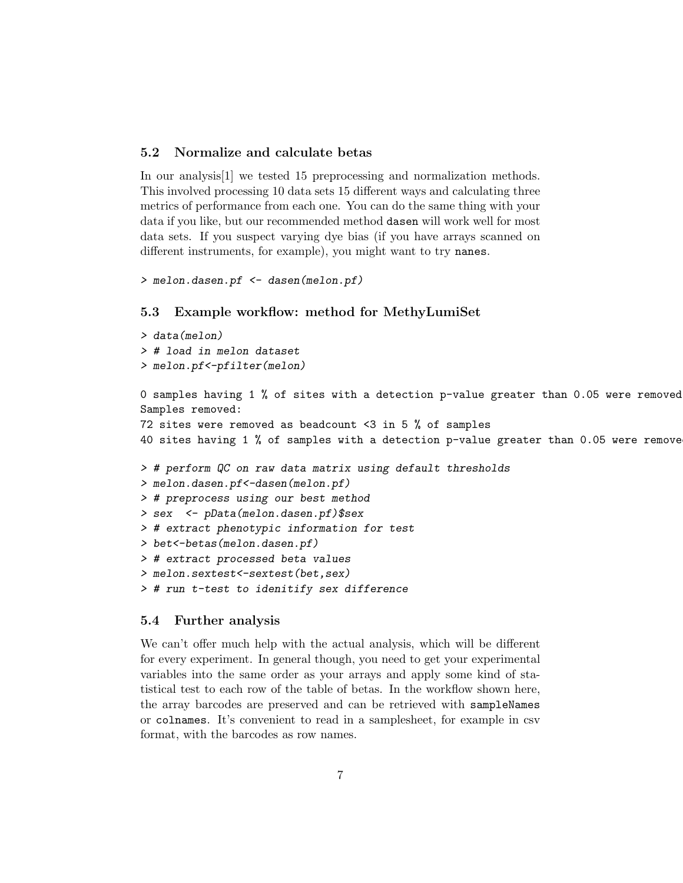### 5.2 Normalize and calculate betas

In our analysis[1] we tested 15 preprocessing and normalization methods. This involved processing 10 data sets 15 different ways and calculating three metrics of performance from each one. You can do the same thing with your data if you like, but our recommended method dasen will work well for most data sets. If you suspect varying dye bias (if you have arrays scanned on different instruments, for example), you might want to try nanes.

```
> melon.dasen.pf <- dasen(melon.pf)
```
#### 5.3 Example workflow: method for MethyLumiSet

```
> data(melon)
> # load in melon dataset
> melon.pf<-pfilter(melon)
```
0 samples having 1 % of sites with a detection p-value greater than 0.05 were removed Samples removed:

72 sites were removed as beadcount <3 in 5 % of samples 40 sites having 1 % of samples with a detection p-value greater than 0.05 were removed

```
> # perform QC on raw data matrix using default thresholds
```

```
> melon.dasen.pf<-dasen(melon.pf)
```

```
> # preprocess using our best method
```

```
> sex <- pData(melon.dasen.pf)$sex
```

```
> # extract phenotypic information for test
```

```
> bet<-betas(melon.dasen.pf)
```
> # extract processed beta values

```
> melon.sextest<-sextest(bet,sex)
```
> # run t-test to idenitify sex difference

#### 5.4 Further analysis

We can't offer much help with the actual analysis, which will be different for every experiment. In general though, you need to get your experimental variables into the same order as your arrays and apply some kind of statistical test to each row of the table of betas. In the workflow shown here, the array barcodes are preserved and can be retrieved with sampleNames or colnames. It's convenient to read in a samplesheet, for example in csv format, with the barcodes as row names.